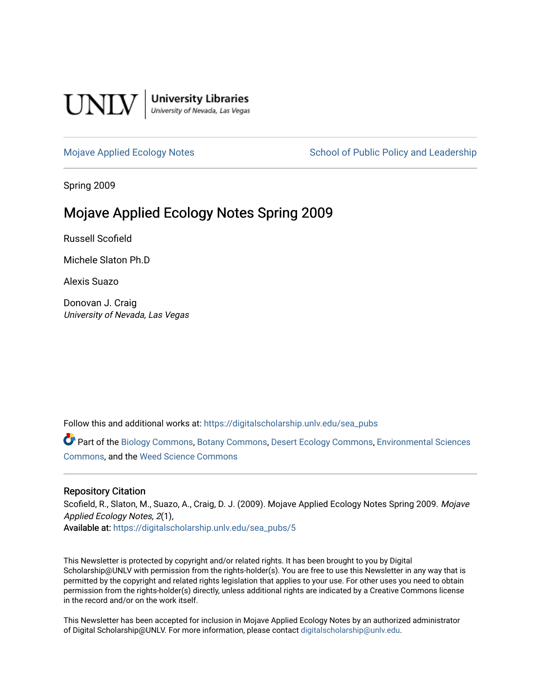

**University Libraries**<br>University of Nevada, Las Vegas

[Mojave Applied Ecology Notes](https://digitalscholarship.unlv.edu/sea_pubs) School of Public Policy and Leadership

Spring 2009

# Mojave Applied Ecology Notes Spring 2009

Russell Scofield

Michele Slaton Ph.D

Alexis Suazo

Donovan J. Craig University of Nevada, Las Vegas

Follow this and additional works at: [https://digitalscholarship.unlv.edu/sea\\_pubs](https://digitalscholarship.unlv.edu/sea_pubs?utm_source=digitalscholarship.unlv.edu%2Fsea_pubs%2F5&utm_medium=PDF&utm_campaign=PDFCoverPages) 

Part of the [Biology Commons,](http://network.bepress.com/hgg/discipline/41?utm_source=digitalscholarship.unlv.edu%2Fsea_pubs%2F5&utm_medium=PDF&utm_campaign=PDFCoverPages) [Botany Commons,](http://network.bepress.com/hgg/discipline/104?utm_source=digitalscholarship.unlv.edu%2Fsea_pubs%2F5&utm_medium=PDF&utm_campaign=PDFCoverPages) [Desert Ecology Commons](http://network.bepress.com/hgg/discipline/1261?utm_source=digitalscholarship.unlv.edu%2Fsea_pubs%2F5&utm_medium=PDF&utm_campaign=PDFCoverPages), [Environmental Sciences](http://network.bepress.com/hgg/discipline/167?utm_source=digitalscholarship.unlv.edu%2Fsea_pubs%2F5&utm_medium=PDF&utm_campaign=PDFCoverPages)  [Commons](http://network.bepress.com/hgg/discipline/167?utm_source=digitalscholarship.unlv.edu%2Fsea_pubs%2F5&utm_medium=PDF&utm_campaign=PDFCoverPages), and the [Weed Science Commons](http://network.bepress.com/hgg/discipline/1267?utm_source=digitalscholarship.unlv.edu%2Fsea_pubs%2F5&utm_medium=PDF&utm_campaign=PDFCoverPages)

### Repository Citation

Scofield, R., Slaton, M., Suazo, A., Craig, D. J. (2009). Mojave Applied Ecology Notes Spring 2009. Mojave Applied Ecology Notes, 2(1), Available at: [https://digitalscholarship.unlv.edu/sea\\_pubs/5](https://digitalscholarship.unlv.edu/sea_pubs/5) 

This Newsletter is protected by copyright and/or related rights. It has been brought to you by Digital Scholarship@UNLV with permission from the rights-holder(s). You are free to use this Newsletter in any way that is permitted by the copyright and related rights legislation that applies to your use. For other uses you need to obtain permission from the rights-holder(s) directly, unless additional rights are indicated by a Creative Commons license in the record and/or on the work itself.

This Newsletter has been accepted for inclusion in Mojave Applied Ecology Notes by an authorized administrator of Digital Scholarship@UNLV. For more information, please contact [digitalscholarship@unlv.edu.](mailto:digitalscholarship@unlv.edu)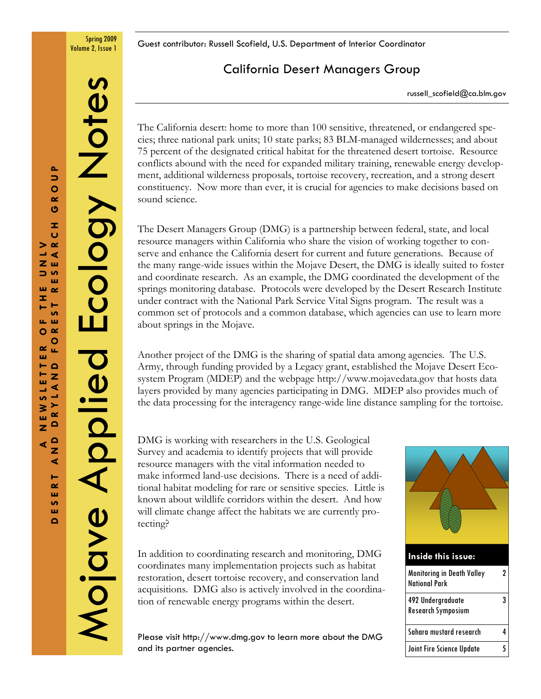Spring 2009

Volume 2, Issue 1 Guest contributor: Russell Scofield, U.S. Department of Interior Coordinator

# California Desert Managers Group

russell\_scofield@ca.blm.gov

The California desert: home to more than 100 sensitive, threatened, or endangered species; three national park units; 10 state parks; 83 BLM-managed wildernesses; and about 75 percent of the designated critical habitat for the threatened desert tortoise. Resource conflicts abound with the need for expanded military training, renewable energy development, additional wilderness proposals, tortoise recovery, recreation, and a strong desert constituency. Now more than ever, it is crucial for agencies to make decisions based on sound science.

The Desert Managers Group (DMG) is a partnership between federal, state, and local resource managers within California who share the vision of working together to conserve and enhance the California desert for current and future generations. Because of the many range-wide issues within the Mojave Desert, the DMG is ideally suited to foster and coordinate research. As an example, the DMG coordinated the development of the springs monitoring database. Protocols were developed by the Desert Research Institute under contract with the National Park Service Vital Signs program. The result was a common set of protocols and a common database, which agencies can use to learn more about springs in the Mojave.

Another project of the DMG is the sharing of spatial data among agencies. The U.S. Army, through funding provided by a Legacy grant, established the Mojave Desert Ecosystem Program (MDEP) and the webpage http://www.mojavedata.gov that hosts data layers provided by many agencies participating in DMG. MDEP also provides much of the data processing for the interagency range-wide line distance sampling for the tortoise.

DMG is working with researchers in the U.S. Geological Survey and academia to identify projects that will provide resource managers with the vital information needed to make informed land-use decisions. There is a need of additional habitat modeling for rare or sensitive species. Little is known about wildlife corridors within the desert. And how will climate change affect the habitats we are currently protecting?

In addition to coordinating research and monitoring, DMG coordinates many implementation projects such as habitat restoration, desert tortoise recovery, and conservation land acquisitions. DMG also is actively involved in the coordination of renewable energy programs within the desert.

Please visit http://www.dmg.gov to learn more about the DMG and its partner agencies.



| <b>Monitoring in Death Valley</b><br><b>National Park</b> | 7 |
|-----------------------------------------------------------|---|
| 492 Undergraduate<br>Research Symposium                   | 3 |
| Sahara mustard research                                   |   |
| Joint Fire Science Update                                 |   |

Mojave Applied Ecology Notes

Mojave Aplied

Ecology Note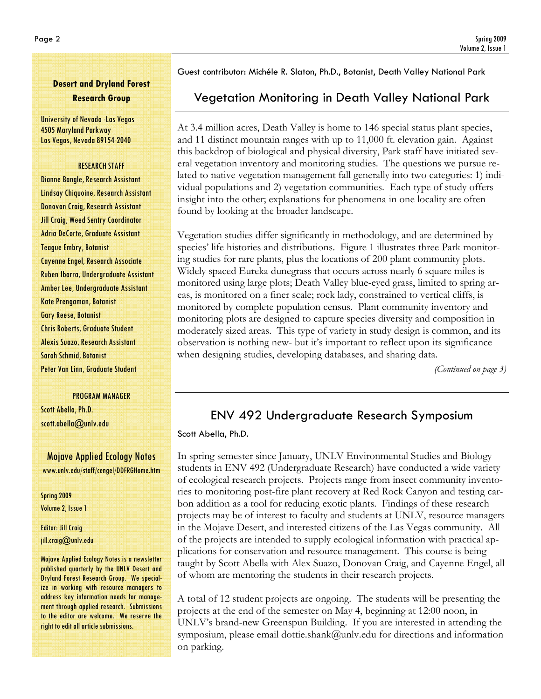# Desert and Dryland Forest Research Group

University of Nevada -Las Vegas 4505 Maryland Parkway Las Vegas, Nevada 89154-2040

#### RESEARCH STAFF

Dianne Bangle, Research Assistant Lindsay Chiquoine, Research Assistant Donovan Craig, Research Assistant Jill Craig, Weed Sentry Coordinator Adria DeCorte, Graduate Assistant Teague Embry, Botanist Cayenne Engel, Research Associate Ruben Ibarra, Undergraduate Assistant Amber Lee, Undergraduate Assistant Kate Prengaman, Botanist Gary Reese, Botanist Chris Roberts, Graduate Student Alexis Suazo, Research Assistant Sarah Schmid, Botanist Peter Van Linn, Graduate Student

PROGRAM MANAGER

Scott Abella, Ph.D. scott.abella@unlv.edu

## Mojave Applied Ecology Notes www.unlv.edu/staff/cengel/DDFRGHome.htm

Spring 2009 Volume 2, Issue 1

Editor: Jill Craig jill.craig@unlv.edu

Mojave Applied Ecology Notes is a newsletter published quarterly by the UNLV Desert and Dryland Forest Research Group. We specialize in working with resource managers to address key information needs for management through applied research. Submissions to the editor are welcome. We reserve the right to edit all article submissions.

Guest contributor: Michéle R. Slaton, Ph.D., Botanist, Death Valley National Park

# Vegetation Monitoring in Death Valley National Park

At 3.4 million acres, Death Valley is home to 146 special status plant species, and 11 distinct mountain ranges with up to 11,000 ft. elevation gain. Against this backdrop of biological and physical diversity, Park staff have initiated several vegetation inventory and monitoring studies. The questions we pursue related to native vegetation management fall generally into two categories: 1) individual populations and 2) vegetation communities. Each type of study offers insight into the other; explanations for phenomena in one locality are often found by looking at the broader landscape.

Vegetation studies differ significantly in methodology, and are determined by species' life histories and distributions. Figure 1 illustrates three Park monitoring studies for rare plants, plus the locations of 200 plant community plots. Widely spaced Eureka dunegrass that occurs across nearly 6 square miles is monitored using large plots; Death Valley blue-eyed grass, limited to spring areas, is monitored on a finer scale; rock lady, constrained to vertical cliffs, is monitored by complete population census. Plant community inventory and monitoring plots are designed to capture species diversity and composition in moderately sized areas. This type of variety in study design is common, and its observation is nothing new- but it's important to reflect upon its significance when designing studies, developing databases, and sharing data.

(Continued on page 3)

# ENV 492 Undergraduate Research Symposium

Scott Abella, Ph.D.

In spring semester since January, UNLV Environmental Studies and Biology students in ENV 492 (Undergraduate Research) have conducted a wide variety of ecological research projects. Projects range from insect community inventories to monitoring post-fire plant recovery at Red Rock Canyon and testing carbon addition as a tool for reducing exotic plants. Findings of these research projects may be of interest to faculty and students at UNLV, resource managers in the Mojave Desert, and interested citizens of the Las Vegas community. All of the projects are intended to supply ecological information with practical applications for conservation and resource management. This course is being taught by Scott Abella with Alex Suazo, Donovan Craig, and Cayenne Engel, all of whom are mentoring the students in their research projects.

A total of 12 student projects are ongoing. The students will be presenting the projects at the end of the semester on May 4, beginning at 12:00 noon, in UNLV's brand-new Greenspun Building. If you are interested in attending the symposium, please email dottie.shank@unlv.edu for directions and information on parking.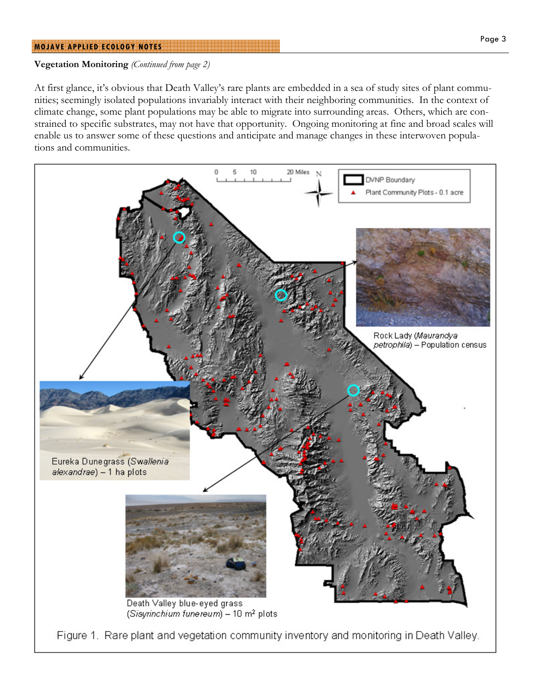#### MOJAVE APPLIED ECOLOGY NOTES

### Vegetation Monitoring (Continued from page 2)

At first glance, it's obvious that Death Valley's rare plants are embedded in a sea of study sites of plant communities; seemingly isolated populations invariably interact with their neighboring communities. In the context of climate change, some plant populations may be able to migrate into surrounding areas. Others, which are constrained to specific substrates, may not have that opportunity. Ongoing monitoring at fine and broad scales will enable us to answer some of these questions and anticipate and manage changes in these interwoven populations and communities.

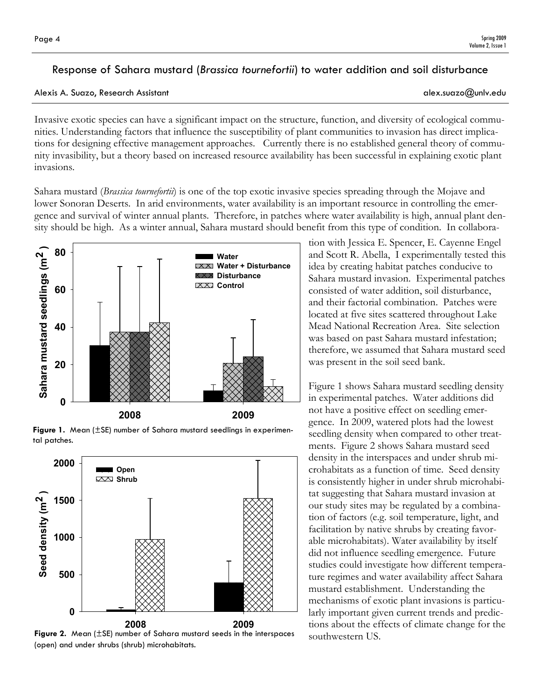# Response of Sahara mustard (Brassica tournefortii) to water addition and soil disturbance

### Alexis A. Suazo, Research Assistant alex.suazo@unlv.edu

Invasive exotic species can have a significant impact on the structure, function, and diversity of ecological communities. Understanding factors that influence the susceptibility of plant communities to invasion has direct implications for designing effective management approaches. Currently there is no established general theory of community invasibility, but a theory based on increased resource availability has been successful in explaining exotic plant invasions.

Sahara mustard *(Brassica tournefortii)* is one of the top exotic invasive species spreading through the Mojave and lower Sonoran Deserts. In arid environments, water availability is an important resource in controlling the emergence and survival of winter annual plants. Therefore, in patches where water availability is high, annual plant density should be high. As a winter annual, Sahara mustard should benefit from this type of condition. In collabora-



Figure 1. Mean (±SE) number of Sahara mustard seedlings in experimental patches.



Figure 2. Mean (±SE) number of Sahara mustard seeds in the interspaces (open) and under shrubs (shrub) microhabitats.

tion with Jessica E. Spencer, E. Cayenne Engel and Scott R. Abella, I experimentally tested this idea by creating habitat patches conducive to Sahara mustard invasion. Experimental patches consisted of water addition, soil disturbance, and their factorial combination. Patches were located at five sites scattered throughout Lake Mead National Recreation Area. Site selection was based on past Sahara mustard infestation; therefore, we assumed that Sahara mustard seed was present in the soil seed bank.

Figure 1 shows Sahara mustard seedling density in experimental patches. Water additions did not have a positive effect on seedling emergence. In 2009, watered plots had the lowest seedling density when compared to other treatments. Figure 2 shows Sahara mustard seed density in the interspaces and under shrub microhabitats as a function of time. Seed density is consistently higher in under shrub microhabitat suggesting that Sahara mustard invasion at our study sites may be regulated by a combination of factors (e.g. soil temperature, light, and facilitation by native shrubs by creating favorable microhabitats). Water availability by itself did not influence seedling emergence. Future studies could investigate how different temperature regimes and water availability affect Sahara mustard establishment. Understanding the mechanisms of exotic plant invasions is particularly important given current trends and predictions about the effects of climate change for the southwestern US.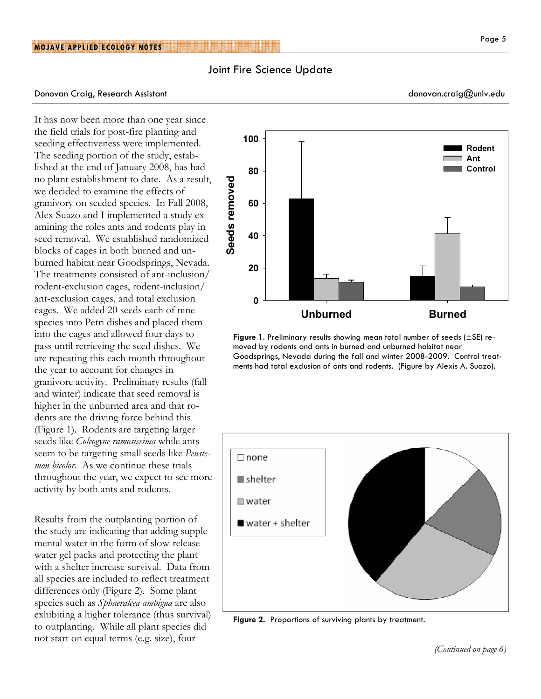### Joint Fire Science Update

#### Donovan Craig, Research Assistant donovan.craig@unlv.edu

It has now been more than one year since the field trials for post-fire planting and seeding effectiveness were implemented. The seeding portion of the study, established at the end of January 2008, has had no plant establishment to date. As a result, we decided to examine the effects of granivory on seeded species. In Fall 2008, Alex Suazo and I implemented a study examining the roles ants and rodents play in seed removal. We established randomized blocks of cages in both burned and unburned habitat near Goodsprings, Nevada. The treatments consisted of ant-inclusion/ rodent-exclusion cages, rodent-inclusion/ ant-exclusion cages, and total exclusion cages. We added 20 seeds each of nine species into Petri dishes and placed them into the cages and allowed four days to pass until retrieving the seed dishes. We are repeating this each month throughout the year to account for changes in granivore activity. Preliminary results (fall and winter) indicate that seed removal is higher in the unburned area and that rodents are the driving force behind this (Figure 1). Rodents are targeting larger seeds like Coleogyne ramosissima while ants seem to be targeting small seeds like *Penste*mon bicolor. As we continue these trials throughout the year, we expect to see more activity by both ants and rodents.

Results from the outplanting portion of the study are indicating that adding supplemental water in the form of slow-release water gel packs and protecting the plant with a shelter increase survival. Data from all species are included to reflect treatment differences only (Figure 2). Some plant species such as Sphaeralcea ambigua are also exhibiting a higher tolerance (thus survival) to outplanting. While all plant species did not start on equal terms (e.g. size), four





Figure 2. Proportions of surviving plants by treatment.